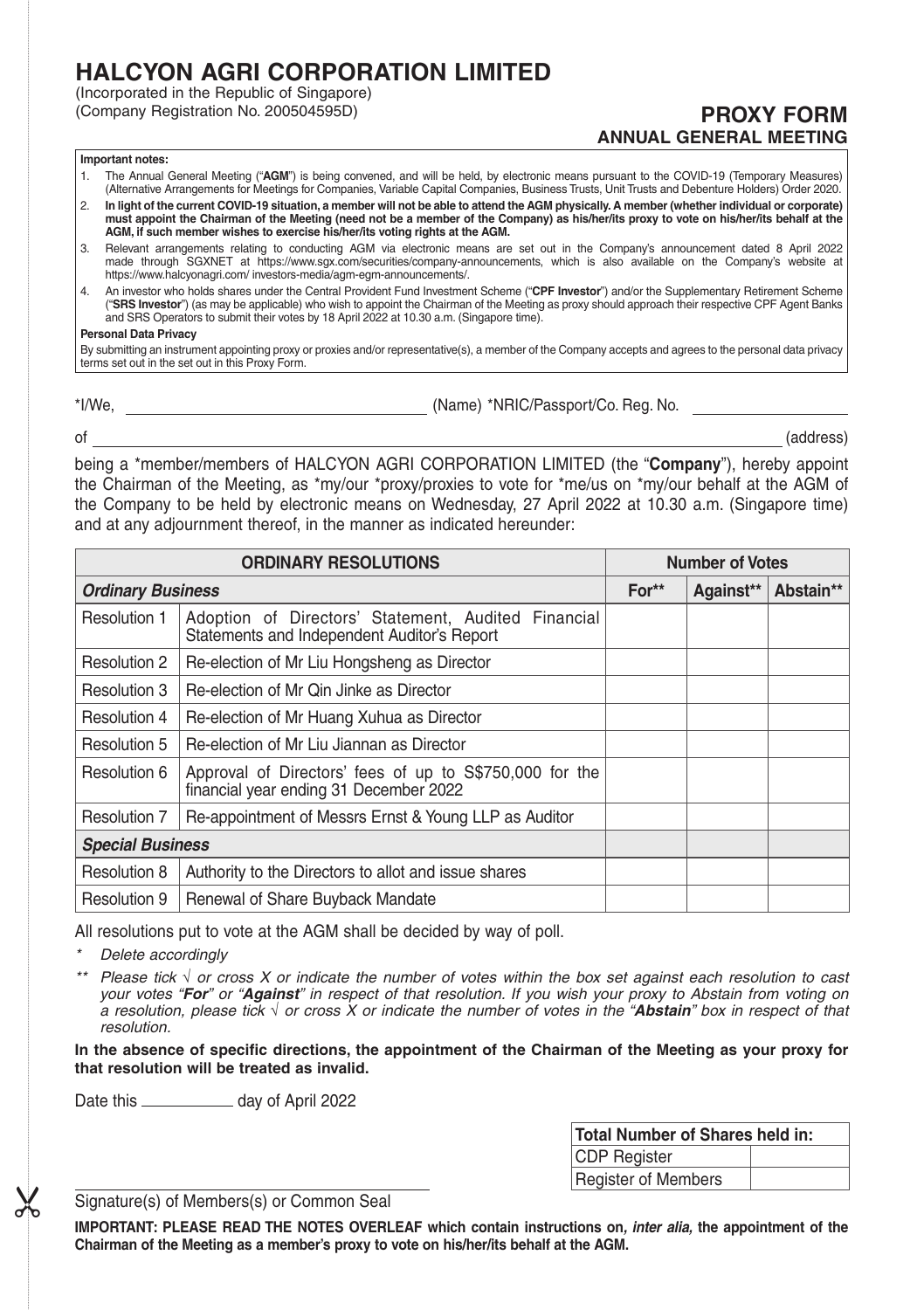# **HALCYON AGRI CORPORATION LIMITED**

(Incorporated in the Republic of Singapore)

(Company Registration No. 200504595D) **PROXY FORM ANNUAL GENERAL MEETING**

## **Important notes:**

- 1. The Annual General Meeting ("**AGM**") is being convened, and will be held, by electronic means pursuant to the COVID-19 (Temporary Measures) (Alternative Arrangements for Meetings for Companies, Variable Capital Companies, Business Trusts, Unit Trusts and Debenture Holders) Order 2020.
- 2. **In light of the current COVID-19 situation, a member will not be able to attend the AGM physically. A member (whether individual or corporate) must appoint the Chairman of the Meeting (need not be a member of the Company) as his/her/its proxy to vote on his/her/its behalf at the AGM, if such member wishes to exercise his/her/its voting rights at the AGM.**
- 3. Relevant arrangements relating to conducting AGM via electronic means are set out in the Company's announcement dated 8 April 2022 made through SGXNET at https://www.sgx.com/securities/company-announcements, which is also available on the Company's website at https://www.halcyonagri.com/ investors-media/agm-egm-announcements/.
- 4. An investor who holds shares under the Central Provident Fund Investment Scheme ("**CPF Investor**") and/or the Supplementary Retirement Scheme ("**SRS Investor**") (as may be applicable) who wish to appoint the Chairman of the Meeting as proxy should approach their respective CPF Agent Banks and SRS Operators to submit their votes by 18 April 2022 at 10.30 a.m. (Singapore time).

# **Personal Data Privacy**

By submitting an instrument appointing proxy or proxies and/or representative(s), a member of the Company accepts and agrees to the personal data privacy terms set out in the set out in this Proxy Form.

\*I/We, (Name) \*NRIC/Passport/Co. Reg. No.

of (address)

being a \*member/members of HALCYON AGRI CORPORATION LIMITED (the "**Company**"), hereby appoint the Chairman of the Meeting, as \*my/our \*proxy/proxies to vote for \*me/us on \*my/our behalf at the AGM of the Company to be held by electronic means on Wednesday, 27 April 2022 at 10.30 a.m. (Singapore time) and at any adjournment thereof, in the manner as indicated hereunder:

| <b>ORDINARY RESOLUTIONS</b> |                                                                                                    | <b>Number of Votes</b> |           |           |
|-----------------------------|----------------------------------------------------------------------------------------------------|------------------------|-----------|-----------|
| <b>Ordinary Business</b>    |                                                                                                    | For**                  | Against** | Abstain** |
| Resolution 1                | Adoption of Directors' Statement, Audited Financial<br>Statements and Independent Auditor's Report |                        |           |           |
| Resolution 2                | Re-election of Mr Liu Hongsheng as Director                                                        |                        |           |           |
| Resolution 3                | Re-election of Mr Qin Jinke as Director                                                            |                        |           |           |
| Resolution 4                | Re-election of Mr Huang Xuhua as Director                                                          |                        |           |           |
| Resolution 5                | Re-election of Mr Liu Jiannan as Director                                                          |                        |           |           |
| Resolution 6                | Approval of Directors' fees of up to S\$750,000 for the<br>financial year ending 31 December 2022  |                        |           |           |
| Resolution 7                | Re-appointment of Messrs Ernst & Young LLP as Auditor                                              |                        |           |           |
| <b>Special Business</b>     |                                                                                                    |                        |           |           |
| Resolution 8                | Authority to the Directors to allot and issue shares                                               |                        |           |           |
| Resolution 9                | Renewal of Share Buyback Mandate                                                                   |                        |           |           |

All resolutions put to vote at the AGM shall be decided by way of poll.

*\* Delete accordingly*

 $\chi$ 

*\*\*Please tick or cross X or indicate the number of votes within the box set against each resolution to cast your votes "For" or "Against" in respect of that resolution. If you wish your proxy to Abstain from voting on a resolution, please tick or cross X or indicate the number of votes in the "Abstain" box in respect of that resolution.*

In the absence of specific directions, the appointment of the Chairman of the Meeting as your proxy for **that resolution will be treated as invalid.**

Date this \_\_\_\_\_\_\_\_\_\_\_\_\_ day of April 2022

| Total Number of Shares held in: |  |  |  |  |
|---------------------------------|--|--|--|--|
| CDP Register                    |  |  |  |  |
| Register of Members             |  |  |  |  |

Signature(s) of Members(s) or Common Seal

**IMPORTANT: PLEASE READ THE NOTES OVERLEAF which contain instructions on***, inter alia,* **the appointment of the Chairman of the Meeting as a member's proxy to vote on his/her/its behalf at the AGM.**